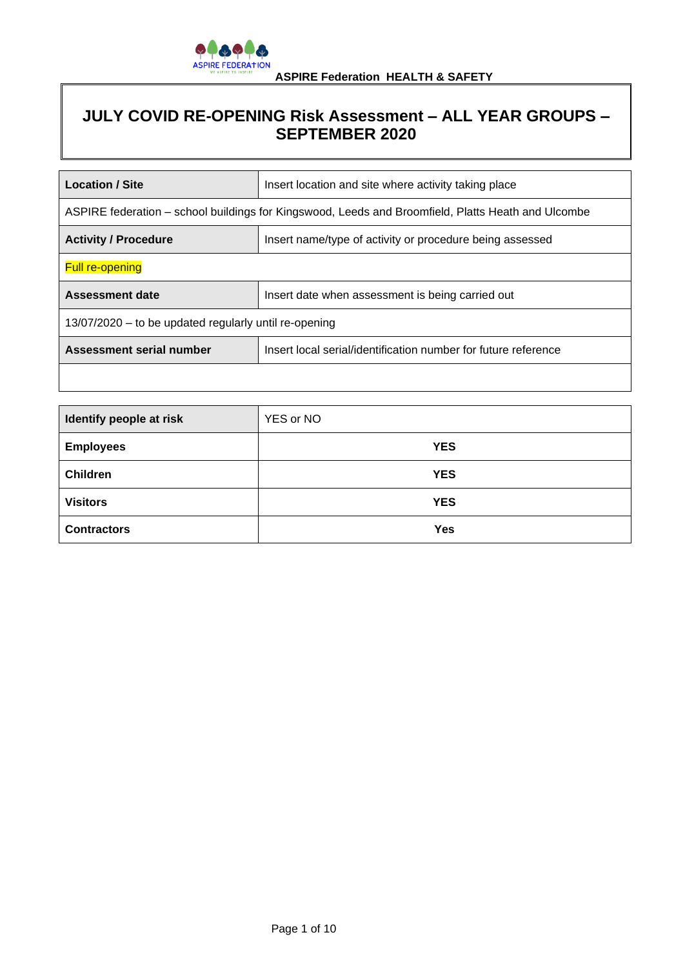

# **JULY COVID RE-OPENING Risk Assessment – ALL YEAR GROUPS – SEPTEMBER 2020**

| <b>Location / Site</b>                                                                             | Insert location and site where activity taking place           |
|----------------------------------------------------------------------------------------------------|----------------------------------------------------------------|
| ASPIRE federation – school buildings for Kingswood, Leeds and Broomfield, Platts Heath and Ulcombe |                                                                |
| <b>Activity / Procedure</b>                                                                        | Insert name/type of activity or procedure being assessed       |
| <b>Full re-opening</b>                                                                             |                                                                |
| <b>Assessment date</b>                                                                             | Insert date when assessment is being carried out               |
| 13/07/2020 – to be updated regularly until re-opening                                              |                                                                |
| Assessment serial number                                                                           | Insert local serial/identification number for future reference |
|                                                                                                    |                                                                |

| Identify people at risk | YES or NO  |
|-------------------------|------------|
| <b>Employees</b>        | <b>YES</b> |
| <b>Children</b>         | <b>YES</b> |
| <b>Visitors</b>         | <b>YES</b> |
| <b>Contractors</b>      | <b>Yes</b> |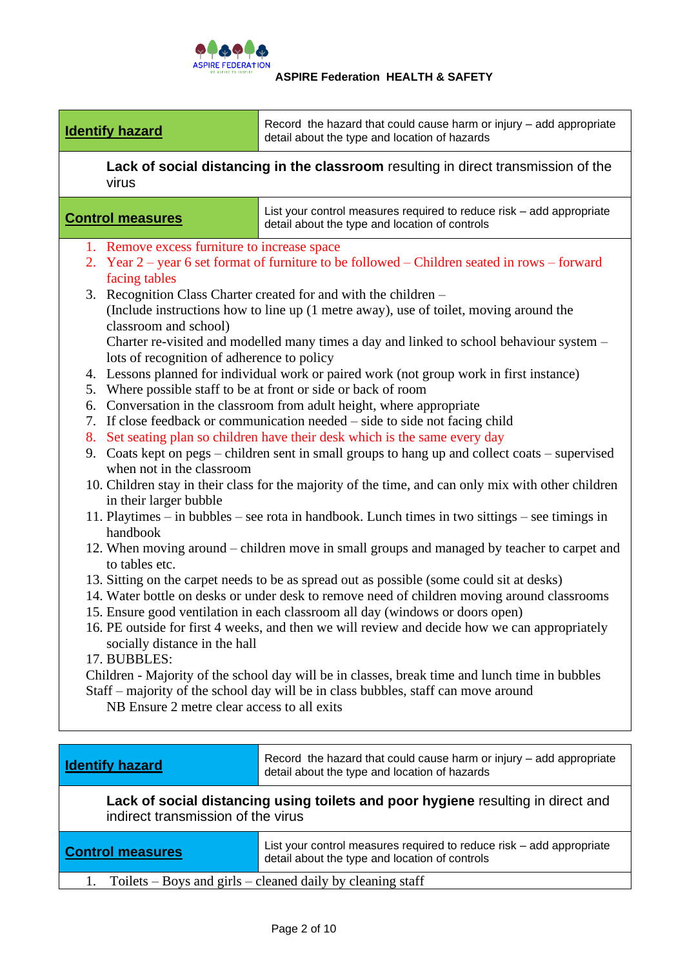

**Identify hazard** Record the hazard that could cause harm or injury – add appropriate detail about the type and location of hazards

**Lack of social distancing in the classroom** resulting in direct transmission of the virus

**Control measures** List your control measures required to reduce risk – add appropriate detail about the type and location of controls

- 1. Remove excess furniture to increase space
- 2. Year 2 year 6 set format of furniture to be followed Children seated in rows forward facing tables
- 3. Recognition Class Charter created for and with the children (Include instructions how to line up (1 metre away), use of toilet, moving around the classroom and school) Charter re-visited and modelled many times a day and linked to school behaviour system – lots of recognition of adherence to policy
- 4. Lessons planned for individual work or paired work (not group work in first instance)
- 5. Where possible staff to be at front or side or back of room
- 6. Conversation in the classroom from adult height, where appropriate
- 7. If close feedback or communication needed side to side not facing child
- 8. Set seating plan so children have their desk which is the same every day
- 9. Coats kept on pegs children sent in small groups to hang up and collect coats supervised when not in the classroom
- 10. Children stay in their class for the majority of the time, and can only mix with other children in their larger bubble
- 11. Playtimes in bubbles see rota in handbook. Lunch times in two sittings see timings in handbook
- 12. When moving around children move in small groups and managed by teacher to carpet and to tables etc.
- 13. Sitting on the carpet needs to be as spread out as possible (some could sit at desks)
- 14. Water bottle on desks or under desk to remove need of children moving around classrooms
- 15. Ensure good ventilation in each classroom all day (windows or doors open)
- 16. PE outside for first 4 weeks, and then we will review and decide how we can appropriately socially distance in the hall

17. BUBBLES:

Children - Majority of the school day will be in classes, break time and lunch time in bubbles Staff – majority of the school day will be in class bubbles, staff can move around

NB Ensure 2 metre clear access to all exits

**Identify hazard** Record the hazard that could cause harm or injury – add appropriate detail about the type and location of hazards

# **Lack of social distancing using toilets and poor hygiene** resulting in direct and indirect transmission of the virus

**Control measures** List your control measures required to reduce risk – add appropriate detail about the type and location of controls

1. Toilets – Boys and girls – cleaned daily by cleaning staff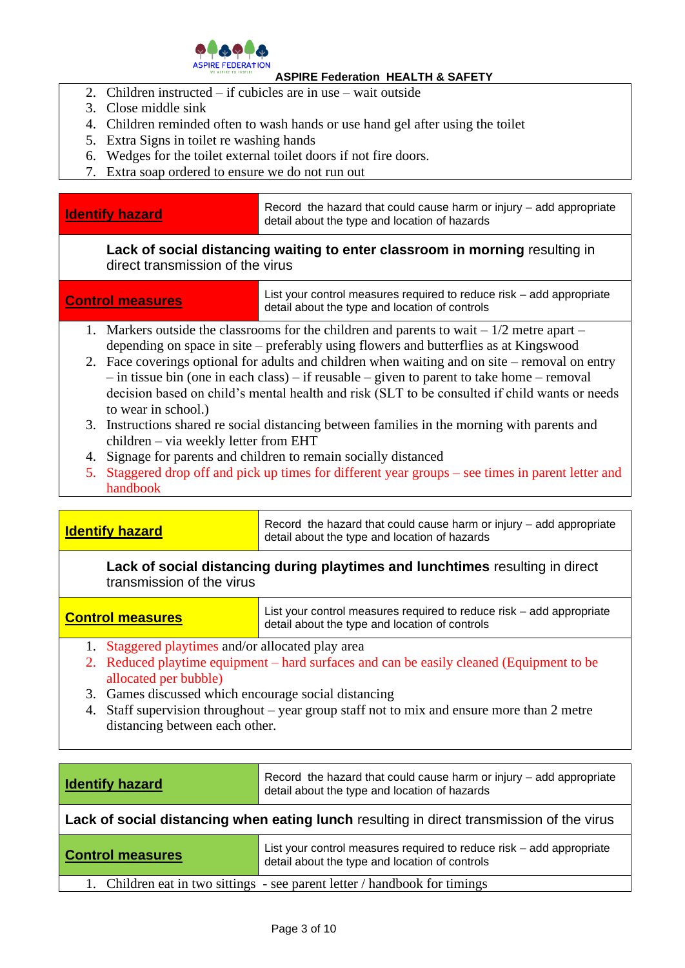

- 2. Children instructed if cubicles are in use wait outside
- 3. Close middle sink
- 4. Children reminded often to wash hands or use hand gel after using the toilet
- 5. Extra Signs in toilet re washing hands
- 6. Wedges for the toilet external toilet doors if not fire doors.
- 7. Extra soap ordered to ensure we do not run out

**Identify hazard** Record the hazard that could cause harm or injury – add appropriate detail about the type and location of hazards

# **Lack of social distancing waiting to enter classroom in morning** resulting in direct transmission of the virus

| <b>Control measures</b>                                                                       | List your control measures required to reduce risk – add appropriate<br>detail about the type and location of controls |
|-----------------------------------------------------------------------------------------------|------------------------------------------------------------------------------------------------------------------------|
| 1. Markers outside the classrooms for the children and parents to wait $-1/2$ metre apart $-$ |                                                                                                                        |

- depending on space in site preferably using flowers and butterflies as at Kingswood 2. Face coverings optional for adults and children when waiting and on site – removal on entry – in tissue bin (one in each class) – if reusable – given to parent to take home – removal decision based on child's mental health and risk (SLT to be consulted if child wants or needs
- to wear in school.) 3. Instructions shared re social distancing between families in the morning with parents and children – via weekly letter from EHT
- 4. Signage for parents and children to remain socially distanced
- 5. Staggered drop off and pick up times for different year groups see times in parent letter and handbook

**Identify hazard** Record the hazard that could cause harm or injury – add appropriate detail about the type and location of hazards

**Lack of social distancing during playtimes and lunchtimes** resulting in direct transmission of the virus

**Control measures** List your control measures required to reduce risk – add appropriate detail about the type and location of controls

- 1. Staggered playtimes and/or allocated play area
- 2. Reduced playtime equipment hard surfaces and can be easily cleaned (Equipment to be allocated per bubble)
- 3. Games discussed which encourage social distancing
- 4. Staff supervision throughout year group staff not to mix and ensure more than 2 metre distancing between each other.

| <b>Identify hazard</b>                                                                    | Record the hazard that could cause harm or injury – add appropriate<br>detail about the type and location of hazards   |
|-------------------------------------------------------------------------------------------|------------------------------------------------------------------------------------------------------------------------|
| Lack of social distancing when eating lunch resulting in direct transmission of the virus |                                                                                                                        |
| <b>Control measures</b>                                                                   | List your control measures required to reduce risk – add appropriate<br>detail about the type and location of controls |
| 1. Children eat in two sittings - see parent letter / handbook for timings                |                                                                                                                        |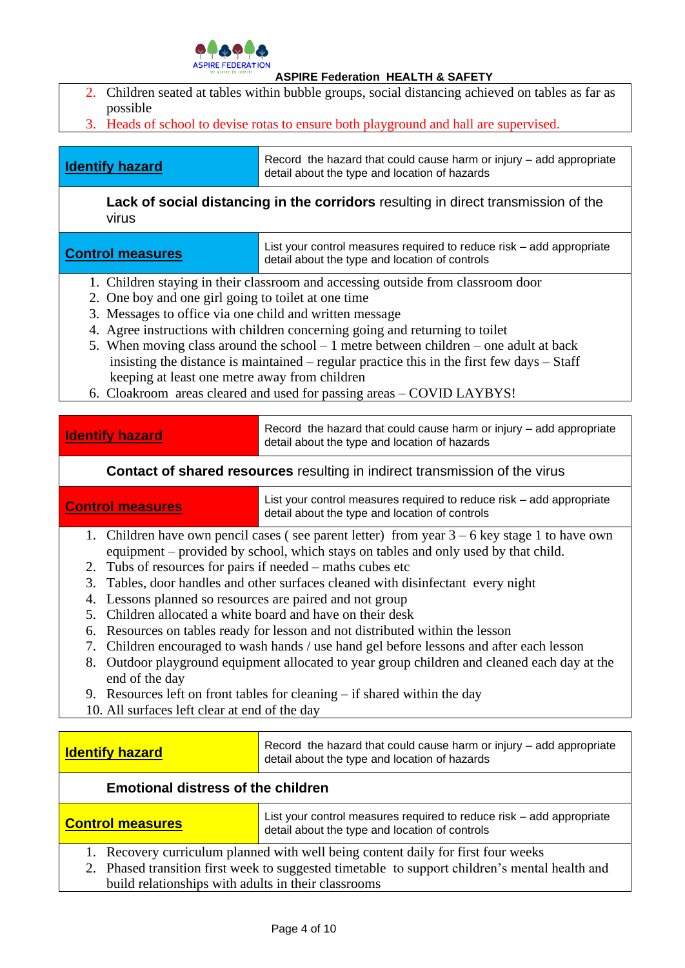

- 2. Children seated at tables within bubble groups, social distancing achieved on tables as far as possible
- 3. Heads of school to devise rotas to ensure both playground and hall are supervised.

**Identify hazard** Record the hazard that could cause harm or injury – add appropriate detail about the type and location of hazards

**Lack of social distancing in the corridors** resulting in direct transmission of the virus

**Control measures** List your control measures required to reduce risk – add appropriate detail about the type and location of controls

- 1. Children staying in their classroom and accessing outside from classroom door
- 2. One boy and one girl going to toilet at one time
- 3. Messages to office via one child and written message
- 4. Agree instructions with children concerning going and returning to toilet
- 5. When moving class around the school 1 metre between children one adult at back insisting the distance is maintained – regular practice this in the first few days – Staff keeping at least one metre away from children
- 6. Cloakroom areas cleared and used for passing areas COVID LAYBYS!

**Identify hazard** Record the hazard that could cause harm or injury – add appropriate detail about the type and location of hazards

# **Contact of shared resources** resulting in indirect transmission of the virus

**Control measures** List your control measures required to reduce risk – add appropriate detail about the type and location of controls

- 1. Children have own pencil cases ( see parent letter) from year 3 6 key stage 1 to have own equipment – provided by school, which stays on tables and only used by that child.
- 2. Tubs of resources for pairs if needed maths cubes etc
- 3. Tables, door handles and other surfaces cleaned with disinfectant every night
- 4. Lessons planned so resources are paired and not group
- 5. Children allocated a white board and have on their desk
- 6. Resources on tables ready for lesson and not distributed within the lesson
- 7. Children encouraged to wash hands / use hand gel before lessons and after each lesson
- 8. Outdoor playground equipment allocated to year group children and cleaned each day at the end of the day
- 9. Resources left on front tables for cleaning if shared within the day
- 10. All surfaces left clear at end of the day

| Record the hazard that could cause harm or injury $-$ add appropriate<br><b>Identify hazard</b><br>detail about the type and location of hazards |  |
|--------------------------------------------------------------------------------------------------------------------------------------------------|--|
|--------------------------------------------------------------------------------------------------------------------------------------------------|--|

# **Emotional distress of the children**

**Control measures** List your control measures required to reduce risk – add appropriate detail about the type and location of controls

- 1. Recovery curriculum planned with well being content daily for first four weeks
- 2. Phased transition first week to suggested timetable to support children's mental health and build relationships with adults in their classrooms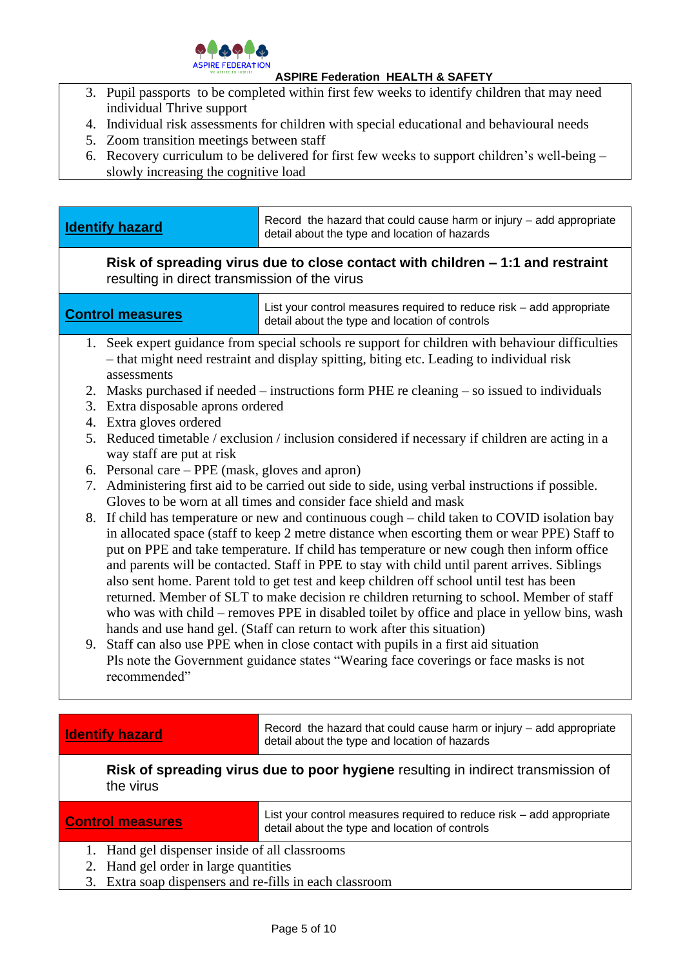

- 3. Pupil passports to be completed within first few weeks to identify children that may need individual Thrive support
- 4. Individual risk assessments for children with special educational and behavioural needs
- 5. Zoom transition meetings between staff
- 6. Recovery curriculum to be delivered for first few weeks to support children's well-being slowly increasing the cognitive load

resulting in direct transmission of the virus

**Control measures** List your control measures required to reduce risk – add appropriate detail about the type and location of controls

- 1. Seek expert guidance from special schools re support for children with behaviour difficulties – that might need restraint and display spitting, biting etc. Leading to individual risk assessments
- 2. Masks purchased if needed instructions form PHE re cleaning so issued to individuals
- 3. Extra disposable aprons ordered
- 4. Extra gloves ordered
- 5. Reduced timetable / exclusion / inclusion considered if necessary if children are acting in a way staff are put at risk
- 6. Personal care PPE (mask, gloves and apron)
- 7. Administering first aid to be carried out side to side, using verbal instructions if possible. Gloves to be worn at all times and consider face shield and mask
- 8. If child has temperature or new and continuous cough child taken to COVID isolation bay in allocated space (staff to keep 2 metre distance when escorting them or wear PPE) Staff to put on PPE and take temperature. If child has temperature or new cough then inform office and parents will be contacted. Staff in PPE to stay with child until parent arrives. Siblings also sent home. Parent told to get test and keep children off school until test has been returned. Member of SLT to make decision re children returning to school. Member of staff who was with child – removes PPE in disabled toilet by office and place in yellow bins, wash hands and use hand gel. (Staff can return to work after this situation)
- 9. Staff can also use PPE when in close contact with pupils in a first aid situation Pls note the Government guidance states "Wearing face coverings or face masks is not recommended"

**Identify hazard** Record the hazard that could cause harm or injury – add appropriate detail about the type and location of hazards

**Risk of spreading virus due to poor hygiene** resulting in indirect transmission of the virus

**Control measures** List your control measures required to reduce risk – add appropriate detail about the type and location of controls

- 1. Hand gel dispenser inside of all classrooms
- 2. Hand gel order in large quantities
- 3. Extra soap dispensers and re-fills in each classroom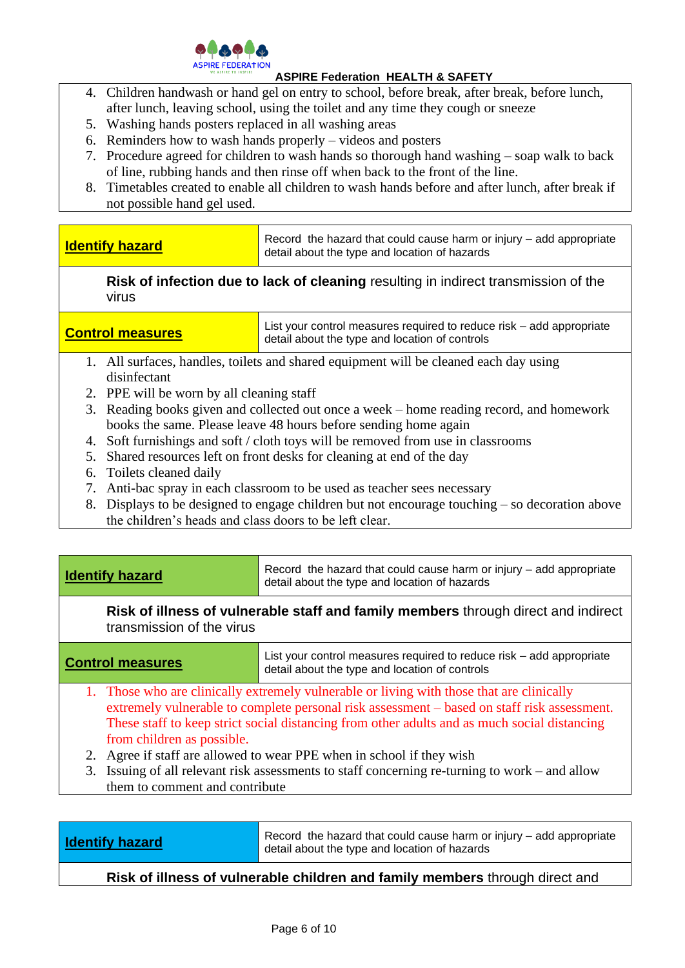

- 4. Children handwash or hand gel on entry to school, before break, after break, before lunch, after lunch, leaving school, using the toilet and any time they cough or sneeze
- 5. Washing hands posters replaced in all washing areas
- 6. Reminders how to wash hands properly videos and posters
- 7. Procedure agreed for children to wash hands so thorough hand washing soap walk to back of line, rubbing hands and then rinse off when back to the front of the line.
- 8. Timetables created to enable all children to wash hands before and after lunch, after break if not possible hand gel used.

| <b>Identify hazard</b> | Record the hazard that could cause harm or injury – add appropriate<br>detail about the type and location of hazards |
|------------------------|----------------------------------------------------------------------------------------------------------------------|
|                        |                                                                                                                      |

**Risk of infection due to lack of cleaning** resulting in indirect transmission of the virus

**Control measures** List your control measures required to reduce risk – add appropriate detail about the type and location of controls

- 1. All surfaces, handles, toilets and shared equipment will be cleaned each day using disinfectant
- 2. PPE will be worn by all cleaning staff
- 3. Reading books given and collected out once a week home reading record, and homework books the same. Please leave 48 hours before sending home again
- 4. Soft furnishings and soft / cloth toys will be removed from use in classrooms
- 5. Shared resources left on front desks for cleaning at end of the day
- 6. Toilets cleaned daily
- 7. Anti-bac spray in each classroom to be used as teacher sees necessary
- 8. Displays to be designed to engage children but not encourage touching so decoration above the children's heads and class doors to be left clear.

| <b>Identify hazard</b>                                                                                                                                                                                                                                                                                                                                                                                                                                                                                                                    | Record the hazard that could cause harm or injury - add appropriate<br>detail about the type and location of hazards   |
|-------------------------------------------------------------------------------------------------------------------------------------------------------------------------------------------------------------------------------------------------------------------------------------------------------------------------------------------------------------------------------------------------------------------------------------------------------------------------------------------------------------------------------------------|------------------------------------------------------------------------------------------------------------------------|
| Risk of illness of vulnerable staff and family members through direct and indirect<br>transmission of the virus                                                                                                                                                                                                                                                                                                                                                                                                                           |                                                                                                                        |
| <b>Control measures</b>                                                                                                                                                                                                                                                                                                                                                                                                                                                                                                                   | List your control measures required to reduce risk – add appropriate<br>detail about the type and location of controls |
| 1. Those who are clinically extremely vulnerable or living with those that are clinically<br>extremely vulnerable to complete personal risk assessment – based on staff risk assessment.<br>These staff to keep strict social distancing from other adults and as much social distancing<br>from children as possible.<br>Agree if staff are allowed to wear PPE when in school if they wish<br>2.<br>Issuing of all relevant risk assessments to staff concerning re-turning to work – and allow<br>3.<br>them to comment and contribute |                                                                                                                        |

**Identify hazard** Record the hazard that could cause harm or injury – add appropriate detail about the type and location of hazards

**Risk of illness of vulnerable children and family members** through direct and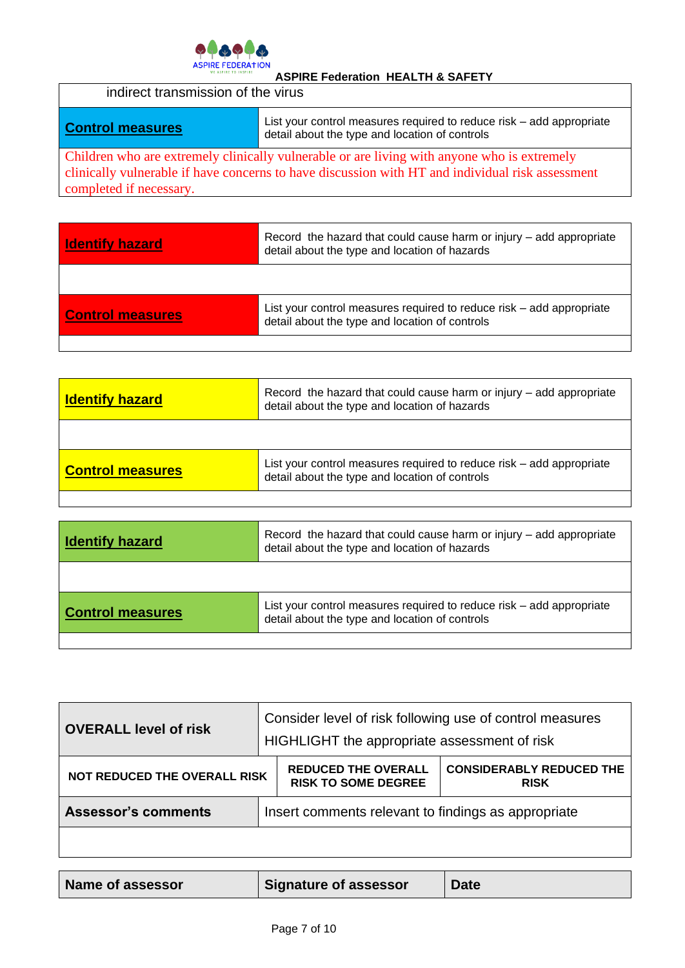

| indirect transmission of the virus |                                                                                                                                                                                                              |
|------------------------------------|--------------------------------------------------------------------------------------------------------------------------------------------------------------------------------------------------------------|
| <b>Control measures</b>            | List your control measures required to reduce risk – add appropriate<br>detail about the type and location of controls                                                                                       |
|                                    | Children who are extremely clinically vulnerable or are living with anyone who is extremely<br>न्दर पर पालिक पालिक पालिक पालिक को पालिक पालिक को पालिक पालिक पालिक पालिक पालिक पालिक पालिक पालिक पालिक पालिक |

clinically vulnerable if have concerns to have discussion with HT and individual risk assessment completed if necessary.

| <b>Identify hazard</b>  | Record the hazard that could cause harm or injury – add appropriate<br>detail about the type and location of hazards   |
|-------------------------|------------------------------------------------------------------------------------------------------------------------|
|                         |                                                                                                                        |
| <b>Control measures</b> | List your control measures required to reduce risk - add appropriate<br>detail about the type and location of controls |
|                         |                                                                                                                        |

| <b>Identify hazard</b>  | Record the hazard that could cause harm or injury – add appropriate<br>detail about the type and location of hazards   |
|-------------------------|------------------------------------------------------------------------------------------------------------------------|
|                         |                                                                                                                        |
| <b>Control measures</b> | List your control measures required to reduce risk – add appropriate<br>detail about the type and location of controls |
|                         |                                                                                                                        |

| <b>Identify hazard</b>  | Record the hazard that could cause harm or injury – add appropriate<br>detail about the type and location of hazards   |
|-------------------------|------------------------------------------------------------------------------------------------------------------------|
|                         |                                                                                                                        |
| <b>Control measures</b> | List your control measures required to reduce risk – add appropriate<br>detail about the type and location of controls |
|                         |                                                                                                                        |

| <b>OVERALL level of risk</b>        | Consider level of risk following use of control measures<br>HIGHLIGHT the appropriate assessment of risk |                                                          |                                                |
|-------------------------------------|----------------------------------------------------------------------------------------------------------|----------------------------------------------------------|------------------------------------------------|
| <b>NOT REDUCED THE OVERALL RISK</b> |                                                                                                          | <b>REDUCED THE OVERALL</b><br><b>RISK TO SOME DEGREE</b> | <b>CONSIDERABLY REDUCED THE</b><br><b>RISK</b> |
| <b>Assessor's comments</b>          | Insert comments relevant to findings as appropriate                                                      |                                                          |                                                |
|                                     |                                                                                                          |                                                          |                                                |

| Name of assessor | Signature of assessor | <b>Date</b> |
|------------------|-----------------------|-------------|
|------------------|-----------------------|-------------|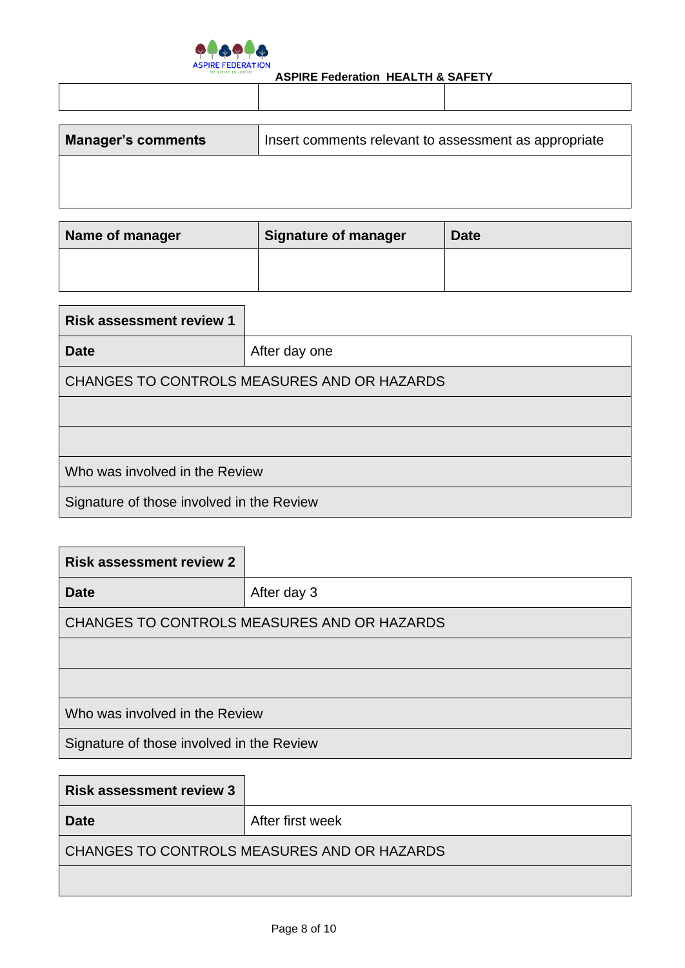

| <b>Manager's comments</b> | Insert comments relevant to assessment as appropriate |  |
|---------------------------|-------------------------------------------------------|--|
|                           |                                                       |  |
|                           |                                                       |  |
|                           |                                                       |  |

| Name of manager | <b>Signature of manager</b> | <b>Date</b> |
|-----------------|-----------------------------|-------------|
|                 |                             |             |

| <b>Risk assessment review 1</b>             |               |  |
|---------------------------------------------|---------------|--|
| <b>Date</b>                                 | After day one |  |
| CHANGES TO CONTROLS MEASURES AND OR HAZARDS |               |  |
|                                             |               |  |
|                                             |               |  |
| Who was involved in the Review              |               |  |
| Signature of those involved in the Review   |               |  |

| <b>Risk assessment review 2</b>             |             |  |
|---------------------------------------------|-------------|--|
| <b>Date</b>                                 | After day 3 |  |
| CHANGES TO CONTROLS MEASURES AND OR HAZARDS |             |  |
|                                             |             |  |
|                                             |             |  |
| Who was involved in the Review              |             |  |
| Signature of those involved in the Review   |             |  |

| <b>Risk assessment review 3</b>             |                  |  |
|---------------------------------------------|------------------|--|
| <b>Date</b>                                 | After first week |  |
| CHANGES TO CONTROLS MEASURES AND OR HAZARDS |                  |  |
|                                             |                  |  |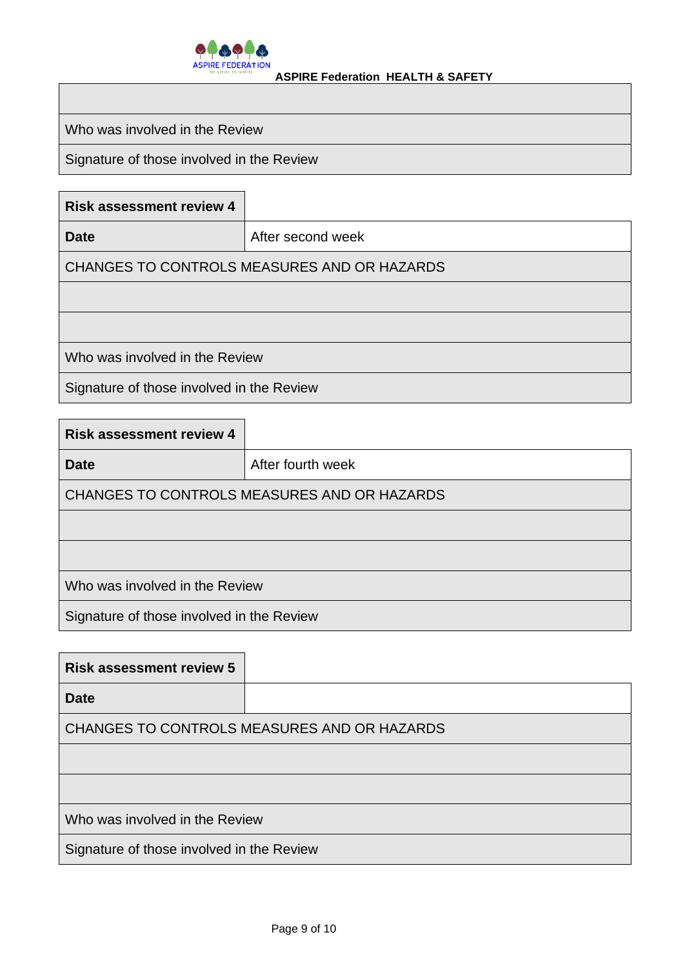

Who was involved in the Review

Signature of those involved in the Review

| <b>Risk assessment review 4</b>             |                   |  |
|---------------------------------------------|-------------------|--|
| <b>Date</b>                                 | After second week |  |
| CHANGES TO CONTROLS MEASURES AND OR HAZARDS |                   |  |
|                                             |                   |  |
|                                             |                   |  |
| Who was involved in the Review              |                   |  |
| Signature of those involved in the Review   |                   |  |

| <b>Risk assessment review 4</b>             |                   |  |
|---------------------------------------------|-------------------|--|
| Date                                        | After fourth week |  |
| CHANGES TO CONTROLS MEASURES AND OR HAZARDS |                   |  |
|                                             |                   |  |
|                                             |                   |  |
| Who was involved in the Review              |                   |  |
| Signature of those involved in the Review   |                   |  |

| <b>Risk assessment review 5</b>             |  |  |
|---------------------------------------------|--|--|
| <b>Date</b>                                 |  |  |
| CHANGES TO CONTROLS MEASURES AND OR HAZARDS |  |  |
|                                             |  |  |
|                                             |  |  |
| Who was involved in the Review              |  |  |
| Signature of those involved in the Review   |  |  |